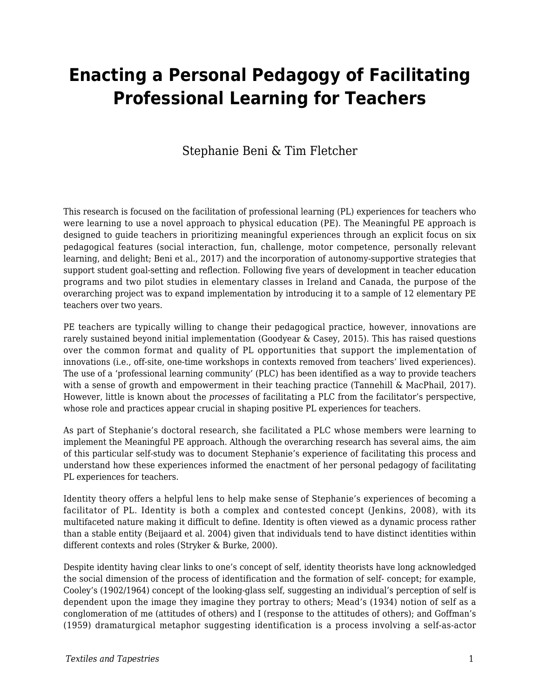# **Enacting a Personal Pedagogy of Facilitating Professional Learning for Teachers**

### Stephanie Beni & Tim Fletcher

This research is focused on the facilitation of professional learning (PL) experiences for teachers who were learning to use a novel approach to physical education (PE). The Meaningful PE approach is designed to guide teachers in prioritizing meaningful experiences through an explicit focus on six pedagogical features (social interaction, fun, challenge, motor competence, personally relevant learning, and delight; Beni et al., 2017) and the incorporation of autonomy-supportive strategies that support student goal-setting and reflection. Following five years of development in teacher education programs and two pilot studies in elementary classes in Ireland and Canada, the purpose of the overarching project was to expand implementation by introducing it to a sample of 12 elementary PE teachers over two years.

PE teachers are typically willing to change their pedagogical practice, however, innovations are rarely sustained beyond initial implementation (Goodyear & Casey, 2015). This has raised questions over the common format and quality of PL opportunities that support the implementation of innovations (i.e., off-site, one-time workshops in contexts removed from teachers' lived experiences). The use of a 'professional learning community' (PLC) has been identified as a way to provide teachers with a sense of growth and empowerment in their teaching practice (Tannehill & MacPhail, 2017). However, little is known about the *processes* of facilitating a PLC from the facilitator's perspective, whose role and practices appear crucial in shaping positive PL experiences for teachers.

As part of Stephanie's doctoral research, she facilitated a PLC whose members were learning to implement the Meaningful PE approach. Although the overarching research has several aims, the aim of this particular self-study was to document Stephanie's experience of facilitating this process and understand how these experiences informed the enactment of her personal pedagogy of facilitating PL experiences for teachers.

Identity theory offers a helpful lens to help make sense of Stephanie's experiences of becoming a facilitator of PL. Identity is both a complex and contested concept (Jenkins, 2008), with its multifaceted nature making it difficult to define. Identity is often viewed as a dynamic process rather than a stable entity (Beijaard et al. 2004) given that individuals tend to have distinct identities within different contexts and roles (Stryker & Burke, 2000).

Despite identity having clear links to one's concept of self, identity theorists have long acknowledged the social dimension of the process of identification and the formation of self- concept; for example, Cooley's (1902/1964) concept of the looking-glass self, suggesting an individual's perception of self is dependent upon the image they imagine they portray to others; Mead's (1934) notion of self as a conglomeration of me (attitudes of others) and I (response to the attitudes of others); and Goffman's (1959) dramaturgical metaphor suggesting identification is a process involving a self-as-actor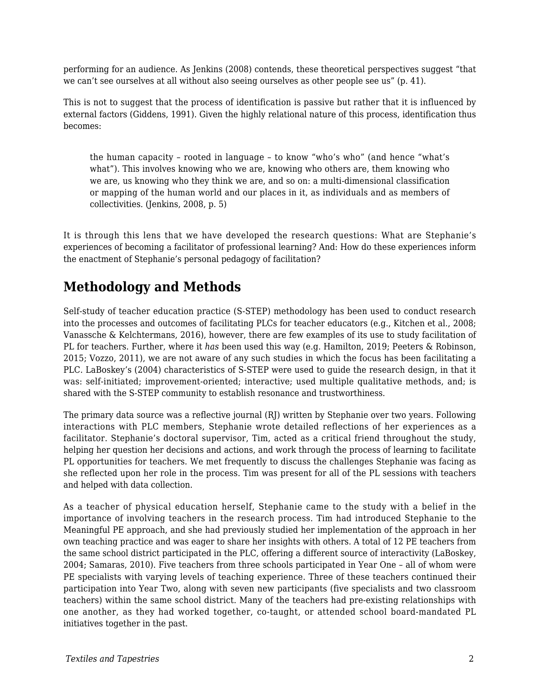performing for an audience. As Jenkins (2008) contends, these theoretical perspectives suggest "that we can't see ourselves at all without also seeing ourselves as other people see us" (p. 41).

This is not to suggest that the process of identification is passive but rather that it is influenced by external factors (Giddens, 1991). Given the highly relational nature of this process, identification thus becomes:

the human capacity – rooted in language – to know "who's who" (and hence "what's what"). This involves knowing who we are, knowing who others are, them knowing who we are, us knowing who they think we are, and so on: a multi-dimensional classification or mapping of the human world and our places in it, as individuals and as members of collectivities. (Jenkins, 2008, p. 5)

It is through this lens that we have developed the research questions: What are Stephanie's experiences of becoming a facilitator of professional learning? And: How do these experiences inform the enactment of Stephanie's personal pedagogy of facilitation?

# **Methodology and Methods**

Self-study of teacher education practice (S-STEP) methodology has been used to conduct research into the processes and outcomes of facilitating PLCs for teacher educators (e.g., Kitchen et al., 2008; Vanassche & Kelchtermans, 2016), however, there are few examples of its use to study facilitation of PL for teachers. Further, where it *has* been used this way (e.g. Hamilton, 2019; Peeters & Robinson, 2015; Vozzo, 2011), we are not aware of any such studies in which the focus has been facilitating a PLC. LaBoskey's (2004) characteristics of S-STEP were used to guide the research design, in that it was: self-initiated; improvement-oriented; interactive; used multiple qualitative methods, and; is shared with the S-STEP community to establish resonance and trustworthiness.

The primary data source was a reflective journal (RJ) written by Stephanie over two years. Following interactions with PLC members, Stephanie wrote detailed reflections of her experiences as a facilitator. Stephanie's doctoral supervisor, Tim, acted as a critical friend throughout the study, helping her question her decisions and actions, and work through the process of learning to facilitate PL opportunities for teachers. We met frequently to discuss the challenges Stephanie was facing as she reflected upon her role in the process. Tim was present for all of the PL sessions with teachers and helped with data collection.

As a teacher of physical education herself, Stephanie came to the study with a belief in the importance of involving teachers in the research process. Tim had introduced Stephanie to the Meaningful PE approach, and she had previously studied her implementation of the approach in her own teaching practice and was eager to share her insights with others. A total of 12 PE teachers from the same school district participated in the PLC, offering a different source of interactivity (LaBoskey, 2004; Samaras, 2010). Five teachers from three schools participated in Year One – all of whom were PE specialists with varying levels of teaching experience. Three of these teachers continued their participation into Year Two, along with seven new participants (five specialists and two classroom teachers) within the same school district. Many of the teachers had pre-existing relationships with one another, as they had worked together, co-taught, or attended school board-mandated PL initiatives together in the past.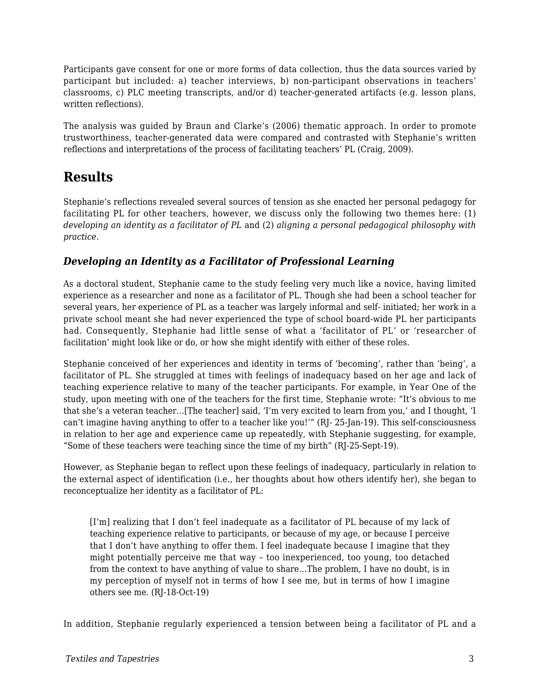Participants gave consent for one or more forms of data collection, thus the data sources varied by participant but included: a) teacher interviews, b) non-participant observations in teachers' classrooms, c) PLC meeting transcripts, and/or d) teacher-generated artifacts (e.g. lesson plans, written reflections).

The analysis was guided by Braun and Clarke's (2006) thematic approach. In order to promote trustworthiness, teacher-generated data were compared and contrasted with Stephanie's written reflections and interpretations of the process of facilitating teachers' PL (Craig, 2009).

### **Results**

Stephanie's reflections revealed several sources of tension as she enacted her personal pedagogy for facilitating PL for other teachers, however, we discuss only the following two themes here: (1) *developing an identity as a facilitator of PL* and (2) *aligning a personal pedagogical philosophy with practice*.

#### *Developing an Identity as a Facilitator of Professional Learning*

As a doctoral student, Stephanie came to the study feeling very much like a novice, having limited experience as a researcher and none as a facilitator of PL. Though she had been a school teacher for several years, her experience of PL as a teacher was largely informal and self- initiated; her work in a private school meant she had never experienced the type of school board-wide PL her participants had. Consequently, Stephanie had little sense of what a 'facilitator of PL' or 'researcher of facilitation' might look like or do, or how she might identify with either of these roles.

Stephanie conceived of her experiences and identity in terms of 'becoming', rather than 'being', a facilitator of PL. She struggled at times with feelings of inadequacy based on her age and lack of teaching experience relative to many of the teacher participants. For example, in Year One of the study, upon meeting with one of the teachers for the first time, Stephanie wrote: "It's obvious to me that she's a veteran teacher…[The teacher] said, 'I'm very excited to learn from you,' and I thought, 'I can't imagine having anything to offer to a teacher like you!'" (RJ- 25-Jan-19). This self-consciousness in relation to her age and experience came up repeatedly, with Stephanie suggesting, for example, "Some of these teachers were teaching since the time of my birth" (RJ-25-Sept-19).

However, as Stephanie began to reflect upon these feelings of inadequacy, particularly in relation to the external aspect of identification (i.e., her thoughts about how others identify her), she began to reconceptualize her identity as a facilitator of PL:

[I'm] realizing that I don't feel inadequate as a facilitator of PL because of my lack of teaching experience relative to participants, or because of my age, or because I perceive that I don't have anything to offer them. I feel inadequate because I imagine that they might potentially perceive me that way – too inexperienced, too young, too detached from the context to have anything of value to share…The problem, I have no doubt, is in my perception of myself not in terms of how I see me, but in terms of how I imagine others see me. (RJ-18-Oct-19)

In addition, Stephanie regularly experienced a tension between being a facilitator of PL and a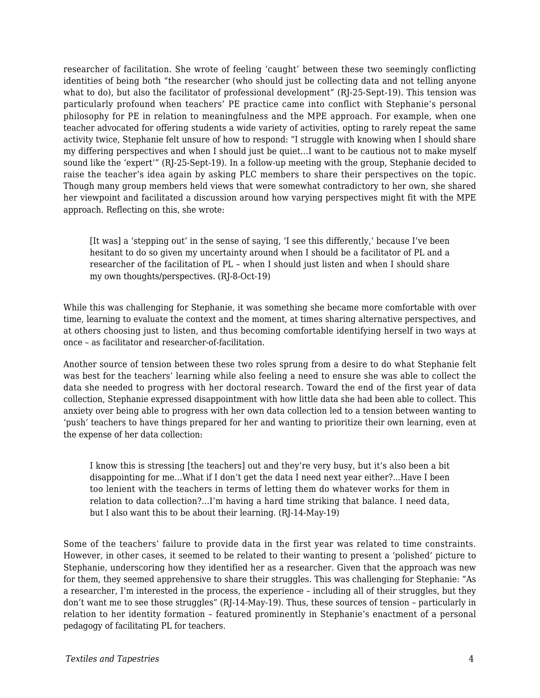researcher of facilitation. She wrote of feeling 'caught' between these two seemingly conflicting identities of being both "the researcher (who should just be collecting data and not telling anyone what to do), but also the facilitator of professional development" (RJ-25-Sept-19). This tension was particularly profound when teachers' PE practice came into conflict with Stephanie's personal philosophy for PE in relation to meaningfulness and the MPE approach. For example, when one teacher advocated for offering students a wide variety of activities, opting to rarely repeat the same activity twice, Stephanie felt unsure of how to respond: "I struggle with knowing when I should share my differing perspectives and when I should just be quiet…I want to be cautious not to make myself sound like the 'expert'" (RJ-25-Sept-19). In a follow-up meeting with the group, Stephanie decided to raise the teacher's idea again by asking PLC members to share their perspectives on the topic. Though many group members held views that were somewhat contradictory to her own, she shared her viewpoint and facilitated a discussion around how varying perspectives might fit with the MPE approach. Reflecting on this, she wrote:

[It was] a 'stepping out' in the sense of saying, 'I see this differently,' because I've been hesitant to do so given my uncertainty around when I should be a facilitator of PL and a researcher of the facilitation of PL – when I should just listen and when I should share my own thoughts/perspectives. (RJ-8-Oct-19)

While this was challenging for Stephanie, it was something she became more comfortable with over time, learning to evaluate the context and the moment, at times sharing alternative perspectives, and at others choosing just to listen, and thus becoming comfortable identifying herself in two ways at once – as facilitator and researcher-of-facilitation.

Another source of tension between these two roles sprung from a desire to do what Stephanie felt was best for the teachers' learning while also feeling a need to ensure she was able to collect the data she needed to progress with her doctoral research. Toward the end of the first year of data collection, Stephanie expressed disappointment with how little data she had been able to collect. This anxiety over being able to progress with her own data collection led to a tension between wanting to 'push' teachers to have things prepared for her and wanting to prioritize their own learning, even at the expense of her data collection:

I know this is stressing [the teachers] out and they're very busy, but it's also been a bit disappointing for me…What if I don't get the data I need next year either?...Have I been too lenient with the teachers in terms of letting them do whatever works for them in relation to data collection?...I'm having a hard time striking that balance. I need data, but I also want this to be about their learning. (RJ-14-May-19)

Some of the teachers' failure to provide data in the first year was related to time constraints. However, in other cases, it seemed to be related to their wanting to present a 'polished' picture to Stephanie, underscoring how they identified her as a researcher. Given that the approach was new for them, they seemed apprehensive to share their struggles. This was challenging for Stephanie: "As a researcher, I'm interested in the process, the experience – including all of their struggles, but they don't want me to see those struggles" (RJ-14-May-19). Thus, these sources of tension – particularly in relation to her identity formation – featured prominently in Stephanie's enactment of a personal pedagogy of facilitating PL for teachers.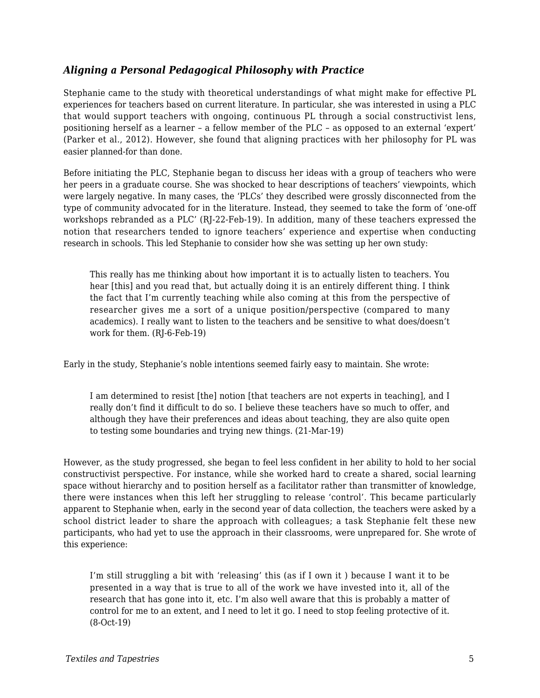#### *Aligning a Personal Pedagogical Philosophy with Practice*

Stephanie came to the study with theoretical understandings of what might make for effective PL experiences for teachers based on current literature. In particular, she was interested in using a PLC that would support teachers with ongoing, continuous PL through a social constructivist lens, positioning herself as a learner – a fellow member of the PLC – as opposed to an external 'expert' (Parker et al., 2012). However, she found that aligning practices with her philosophy for PL was easier planned-for than done.

Before initiating the PLC, Stephanie began to discuss her ideas with a group of teachers who were her peers in a graduate course. She was shocked to hear descriptions of teachers' viewpoints, which were largely negative. In many cases, the 'PLCs' they described were grossly disconnected from the type of community advocated for in the literature. Instead, they seemed to take the form of 'one-off workshops rebranded as a PLC' (RJ-22-Feb-19). In addition, many of these teachers expressed the notion that researchers tended to ignore teachers' experience and expertise when conducting research in schools. This led Stephanie to consider how she was setting up her own study:

This really has me thinking about how important it is to actually listen to teachers. You hear [this] and you read that, but actually doing it is an entirely different thing. I think the fact that I'm currently teaching while also coming at this from the perspective of researcher gives me a sort of a unique position/perspective (compared to many academics). I really want to listen to the teachers and be sensitive to what does/doesn't work for them. (RJ-6-Feb-19)

Early in the study, Stephanie's noble intentions seemed fairly easy to maintain. She wrote:

I am determined to resist [the] notion [that teachers are not experts in teaching], and I really don't find it difficult to do so. I believe these teachers have so much to offer, and although they have their preferences and ideas about teaching, they are also quite open to testing some boundaries and trying new things. (21-Mar-19)

However, as the study progressed, she began to feel less confident in her ability to hold to her social constructivist perspective. For instance, while she worked hard to create a shared, social learning space without hierarchy and to position herself as a facilitator rather than transmitter of knowledge, there were instances when this left her struggling to release 'control'. This became particularly apparent to Stephanie when, early in the second year of data collection, the teachers were asked by a school district leader to share the approach with colleagues; a task Stephanie felt these new participants, who had yet to use the approach in their classrooms, were unprepared for. She wrote of this experience:

I'm still struggling a bit with 'releasing' this (as if I own it ) because I want it to be presented in a way that is true to all of the work we have invested into it, all of the research that has gone into it, etc. I'm also well aware that this is probably a matter of control for me to an extent, and I need to let it go. I need to stop feeling protective of it. (8-Oct-19)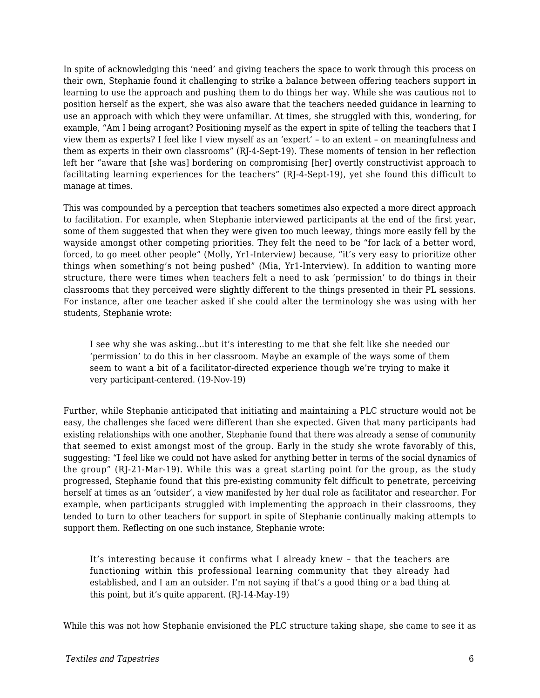In spite of acknowledging this 'need' and giving teachers the space to work through this process on their own, Stephanie found it challenging to strike a balance between offering teachers support in learning to use the approach and pushing them to do things her way. While she was cautious not to position herself as the expert, she was also aware that the teachers needed guidance in learning to use an approach with which they were unfamiliar. At times, she struggled with this, wondering, for example, "Am I being arrogant? Positioning myself as the expert in spite of telling the teachers that I view them as experts? I feel like I view myself as an 'expert' – to an extent – on meaningfulness and them as experts in their own classrooms" (RJ-4-Sept-19). These moments of tension in her reflection left her "aware that [she was] bordering on compromising [her] overtly constructivist approach to facilitating learning experiences for the teachers" (RJ-4-Sept-19), yet she found this difficult to manage at times.

This was compounded by a perception that teachers sometimes also expected a more direct approach to facilitation. For example, when Stephanie interviewed participants at the end of the first year, some of them suggested that when they were given too much leeway, things more easily fell by the wayside amongst other competing priorities. They felt the need to be "for lack of a better word, forced, to go meet other people" (Molly, Yr1-Interview) because, "it's very easy to prioritize other things when something's not being pushed" (Mia, Yr1-Interview). In addition to wanting more structure, there were times when teachers felt a need to ask 'permission' to do things in their classrooms that they perceived were slightly different to the things presented in their PL sessions. For instance, after one teacher asked if she could alter the terminology she was using with her students, Stephanie wrote:

I see why she was asking…but it's interesting to me that she felt like she needed our 'permission' to do this in her classroom. Maybe an example of the ways some of them seem to want a bit of a facilitator-directed experience though we're trying to make it very participant-centered. (19-Nov-19)

Further, while Stephanie anticipated that initiating and maintaining a PLC structure would not be easy, the challenges she faced were different than she expected. Given that many participants had existing relationships with one another, Stephanie found that there was already a sense of community that seemed to exist amongst most of the group. Early in the study she wrote favorably of this, suggesting: "I feel like we could not have asked for anything better in terms of the social dynamics of the group" (RJ-21-Mar-19). While this was a great starting point for the group, as the study progressed, Stephanie found that this pre-existing community felt difficult to penetrate, perceiving herself at times as an 'outsider', a view manifested by her dual role as facilitator and researcher. For example, when participants struggled with implementing the approach in their classrooms, they tended to turn to other teachers for support in spite of Stephanie continually making attempts to support them. Reflecting on one such instance, Stephanie wrote:

It's interesting because it confirms what I already knew – that the teachers are functioning within this professional learning community that they already had established, and I am an outsider. I'm not saying if that's a good thing or a bad thing at this point, but it's quite apparent. (RJ-14-May-19)

While this was not how Stephanie envisioned the PLC structure taking shape, she came to see it as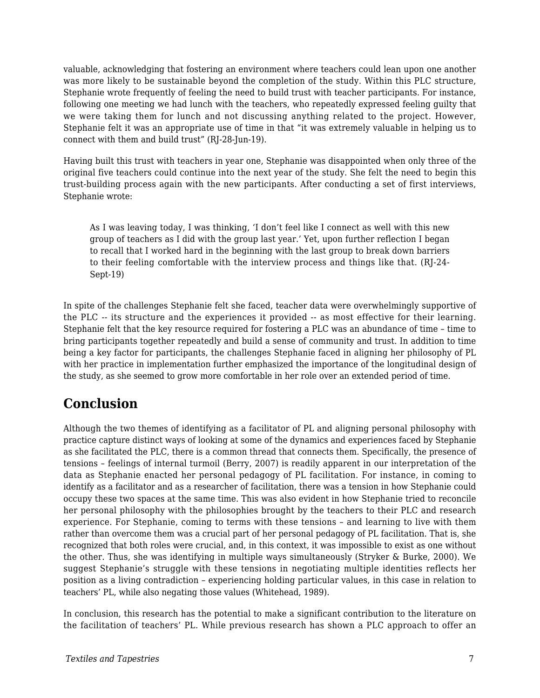valuable, acknowledging that fostering an environment where teachers could lean upon one another was more likely to be sustainable beyond the completion of the study. Within this PLC structure, Stephanie wrote frequently of feeling the need to build trust with teacher participants. For instance, following one meeting we had lunch with the teachers, who repeatedly expressed feeling guilty that we were taking them for lunch and not discussing anything related to the project. However, Stephanie felt it was an appropriate use of time in that "it was extremely valuable in helping us to connect with them and build trust" (RJ-28-Jun-19).

Having built this trust with teachers in year one, Stephanie was disappointed when only three of the original five teachers could continue into the next year of the study. She felt the need to begin this trust-building process again with the new participants. After conducting a set of first interviews, Stephanie wrote:

As I was leaving today, I was thinking, 'I don't feel like I connect as well with this new group of teachers as I did with the group last year.' Yet, upon further reflection I began to recall that I worked hard in the beginning with the last group to break down barriers to their feeling comfortable with the interview process and things like that. (RJ-24- Sept-19)

In spite of the challenges Stephanie felt she faced, teacher data were overwhelmingly supportive of the PLC -- its structure and the experiences it provided -- as most effective for their learning. Stephanie felt that the key resource required for fostering a PLC was an abundance of time – time to bring participants together repeatedly and build a sense of community and trust. In addition to time being a key factor for participants, the challenges Stephanie faced in aligning her philosophy of PL with her practice in implementation further emphasized the importance of the longitudinal design of the study, as she seemed to grow more comfortable in her role over an extended period of time.

## **Conclusion**

Although the two themes of identifying as a facilitator of PL and aligning personal philosophy with practice capture distinct ways of looking at some of the dynamics and experiences faced by Stephanie as she facilitated the PLC, there is a common thread that connects them. Specifically, the presence of tensions – feelings of internal turmoil (Berry, 2007) is readily apparent in our interpretation of the data as Stephanie enacted her personal pedagogy of PL facilitation. For instance, in coming to identify as a facilitator and as a researcher of facilitation, there was a tension in how Stephanie could occupy these two spaces at the same time. This was also evident in how Stephanie tried to reconcile her personal philosophy with the philosophies brought by the teachers to their PLC and research experience. For Stephanie, coming to terms with these tensions – and learning to live with them rather than overcome them was a crucial part of her personal pedagogy of PL facilitation. That is, she recognized that both roles were crucial, and, in this context, it was impossible to exist as one without the other. Thus, she was identifying in multiple ways simultaneously (Stryker & Burke, 2000). We suggest Stephanie's struggle with these tensions in negotiating multiple identities reflects her position as a living contradiction – experiencing holding particular values, in this case in relation to teachers' PL, while also negating those values (Whitehead, 1989).

In conclusion, this research has the potential to make a significant contribution to the literature on the facilitation of teachers' PL. While previous research has shown a PLC approach to offer an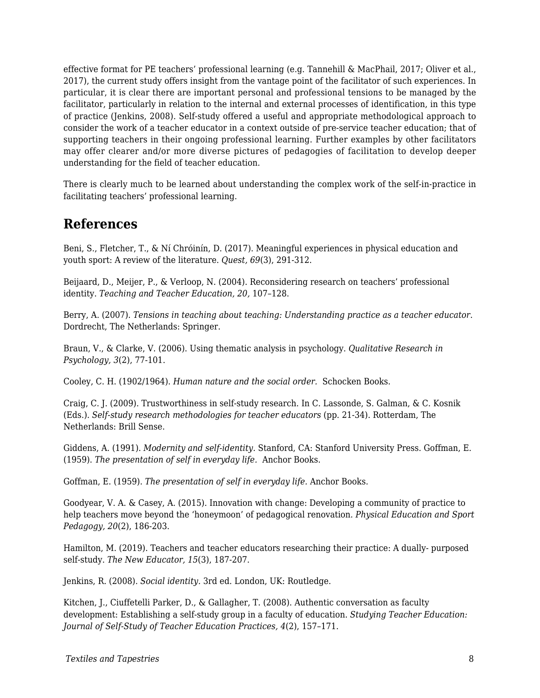effective format for PE teachers' professional learning (e.g. Tannehill & MacPhail, 2017; Oliver et al., 2017), the current study offers insight from the vantage point of the facilitator of such experiences. In particular, it is clear there are important personal and professional tensions to be managed by the facilitator, particularly in relation to the internal and external processes of identification, in this type of practice (Jenkins, 2008). Self-study offered a useful and appropriate methodological approach to consider the work of a teacher educator in a context outside of pre-service teacher education; that of supporting teachers in their ongoing professional learning. Further examples by other facilitators may offer clearer and/or more diverse pictures of pedagogies of facilitation to develop deeper understanding for the field of teacher education.

There is clearly much to be learned about understanding the complex work of the self-in-practice in facilitating teachers' professional learning.

### **References**

Beni, S., Fletcher, T., & Ní Chróinín, D. (2017). Meaningful experiences in physical education and youth sport: A review of the literature. *Quest, 69*(3), 291-312.

Beijaard, D., Meijer, P., & Verloop, N. (2004). Reconsidering research on teachers' professional identity. *Teaching and Teacher Education, 20,* 107–128.

Berry, A. (2007). *Tensions in teaching about teaching: Understanding practice as a teacher educator*. Dordrecht, The Netherlands: Springer.

Braun, V., & Clarke, V. (2006). Using thematic analysis in psychology. *Qualitative Research in Psychology, 3*(2), 77-101.

Cooley, C. H. (1902/1964). *Human nature and the social order.* Schocken Books.

Craig, C. J. (2009). Trustworthiness in self-study research. In C. Lassonde, S. Galman, & C. Kosnik (Eds.). *Self-study research methodologies for teacher educators* (pp. 21-34). Rotterdam, The Netherlands: Brill Sense.

Giddens, A. (1991). *Modernity and self-identity.* Stanford, CA: Stanford University Press. Goffman, E. (1959). *The presentation of self in everyday life.* Anchor Books.

Goffman, E. (1959). *The presentation of self in everyday life.* Anchor Books.

Goodyear, V. A. & Casey, A. (2015). Innovation with change: Developing a community of practice to help teachers move beyond the 'honeymoon' of pedagogical renovation. *Physical Education and Sport Pedagogy, 20*(2), 186-203.

Hamilton, M. (2019). Teachers and teacher educators researching their practice: A dually- purposed self-study. *The New Educator, 15*(3), 187-207.

Jenkins, R. (2008). *Social identity.* 3rd ed. London, UK: Routledge.

Kitchen, J., Ciuffetelli Parker, D., & Gallagher, T. (2008). Authentic conversation as faculty development: Establishing a self-study group in a faculty of education. *Studying Teacher Education: Journal of Self-Study of Teacher Education Practices, 4*(2), 157–171.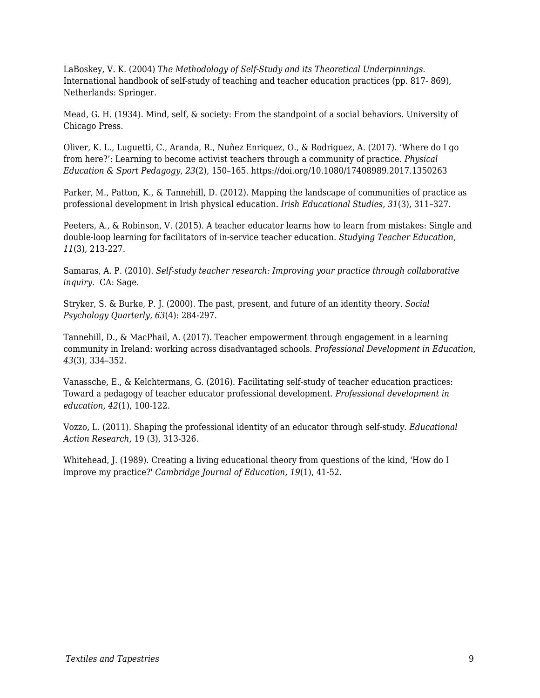LaBoskey, V. K. (2004) *The Methodology of Self-Study and its Theoretical Underpinnings.* International handbook of self-study of teaching and teacher education practices (pp. 817- 869), Netherlands: Springer.

Mead, G. H. (1934). Mind, self, & society: From the standpoint of a social behaviors. University of Chicago Press.

Oliver, K. L., Luguetti, C., Aranda, R., Nuñez Enriquez, O., & Rodriguez, A. (2017). 'Where do I go from here?': Learning to become activist teachers through a community of practice. *Physical Education & Sport Pedagogy*, *23*(2), 150–165. https://doi.org/10.1080/17408989.2017.1350263

Parker, M., Patton, K., & Tannehill, D. (2012). Mapping the landscape of communities of practice as professional development in Irish physical education. *Irish Educational Studies*, *31*(3), 311–327.

Peeters, A., & Robinson, V. (2015). A teacher educator learns how to learn from mistakes: Single and double-loop learning for facilitators of in-service teacher education. *Studying Teacher Education, 11*(3), 213-227.

Samaras, A. P. (2010). *Self-study teacher research: Improving your practice through collaborative inquiry*. CA: Sage.

Stryker, S. & Burke, P. J. (2000). The past, present, and future of an identity theory. *Social Psychology Quarterly, 63*(4): 284-297.

Tannehill, D., & MacPhail, A. (2017). Teacher empowerment through engagement in a learning community in Ireland: working across disadvantaged schools. *Professional Development in Education*, *43*(3), 334–352.

Vanassche, E., & Kelchtermans, G. (2016). Facilitating self-study of teacher education practices: Toward a pedagogy of teacher educator professional development. *Professional development in education, 42*(1), 100-122.

Vozzo, L. (2011). Shaping the professional identity of an educator through self-study. *Educational Action Research*, 19 (3), 313-326.

Whitehead, J. (1989). Creating a living educational theory from questions of the kind, 'How do I improve my practice?' *Cambridge Journal of Education, 19*(1), 41-52.